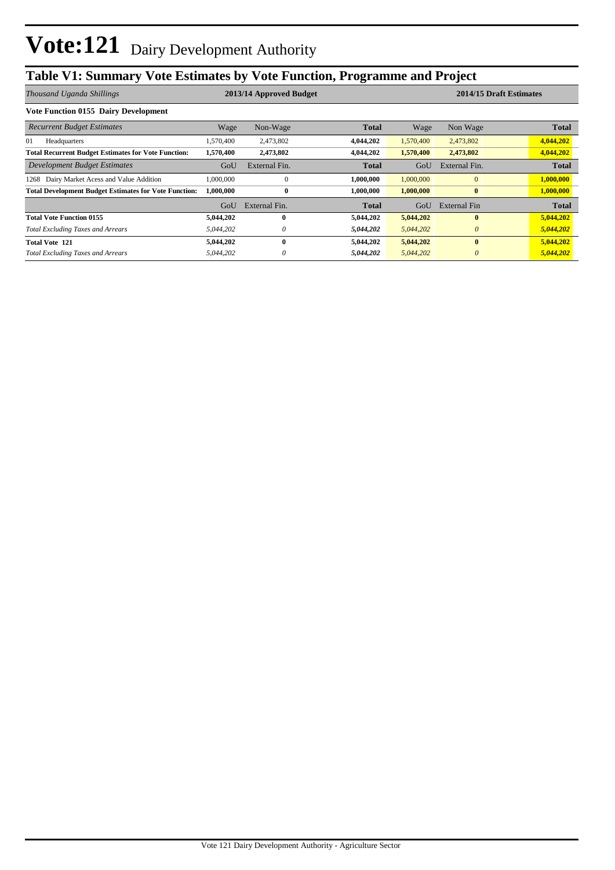## **Table V1: Summary Vote Estimates by Vote Function, Programme and Project**

| Thousand Uganda Shillings                                    | 2013/14 Approved Budget |               |              |           | 2014/15 Draft Estimates |              |  |
|--------------------------------------------------------------|-------------------------|---------------|--------------|-----------|-------------------------|--------------|--|
| <b>Vote Function 0155 Dairy Development</b>                  |                         |               |              |           |                         |              |  |
| <b>Recurrent Budget Estimates</b>                            | Wage                    | Non-Wage      | Total        | Wage      | Non Wage                | <b>Total</b> |  |
| 01<br>Headquarters                                           | .570,400                | 2,473,802     | 4,044,202    | 1,570,400 | 2,473,802               | 4,044,202    |  |
| <b>Total Recurrent Budget Estimates for Vote Function:</b>   | 1,570,400               | 2,473,802     | 4,044,202    | 1,570,400 | 2,473,802               | 4,044,202    |  |
| Development Budget Estimates                                 | GoU                     | External Fin. | <b>Total</b> | GoU       | External Fin.           | <b>Total</b> |  |
| Dairy Market Acess and Value Addition<br>1268                | .000.000                | $\theta$      | 1,000,000    | 1,000,000 | $\mathbf{0}$            | 1,000,000    |  |
| <b>Total Development Budget Estimates for Vote Function:</b> | 1,000,000               | $\bf{0}$      | 1,000,000    | 1,000,000 | $\bf{0}$                | 1,000,000    |  |
|                                                              | GoU                     | External Fin. | Total        | GoU       | External Fin            | <b>Total</b> |  |
| <b>Total Vote Function 0155</b>                              | 5,044,202               | 0             | 5,044,202    | 5,044,202 | $\bf{0}$                | 5,044,202    |  |
| <b>Total Excluding Taxes and Arrears</b>                     | 5,044,202               | 0             | 5,044,202    | 5,044,202 | $\theta$                | 5,044,202    |  |
| <b>Total Vote 121</b>                                        | 5,044,202               | 0             | 5,044,202    | 5,044,202 | $\bf{0}$                | 5,044,202    |  |
| <b>Total Excluding Taxes and Arrears</b>                     | 5,044,202               |               | 5,044,202    | 5,044,202 | $\theta$                | 5,044,202    |  |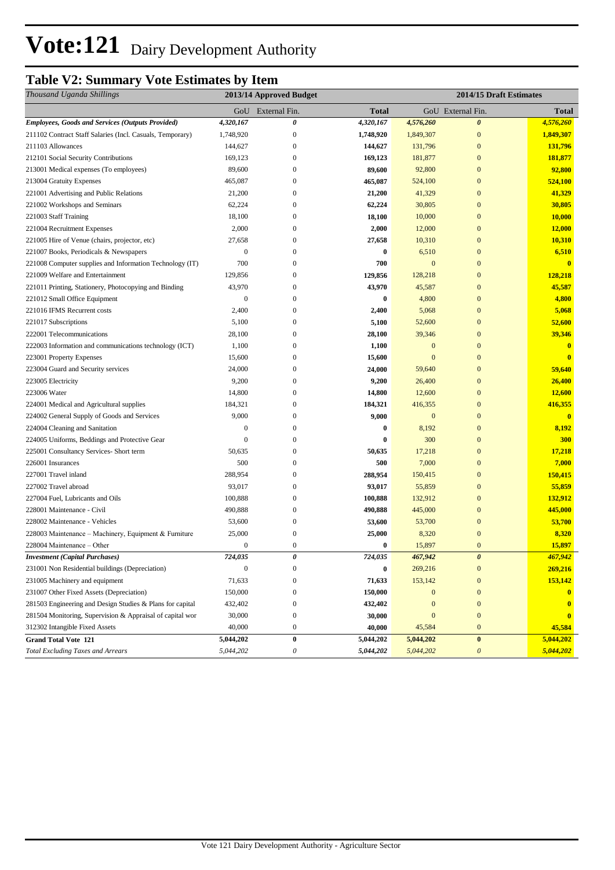## **Table V2: Summary Vote Estimates by Item**

| Thousand Uganda Shillings                                 | 2013/14 Approved Budget |                           |              | 2014/15 Draft Estimates |                       |                         |
|-----------------------------------------------------------|-------------------------|---------------------------|--------------|-------------------------|-----------------------|-------------------------|
|                                                           |                         | GoU External Fin.         | <b>Total</b> |                         | GoU External Fin.     | <b>Total</b>            |
| <b>Employees, Goods and Services (Outputs Provided)</b>   | 4,320,167               | 0                         | 4,320,167    | 4,576,260               | $\boldsymbol{\theta}$ | 4,576,260               |
| 211102 Contract Staff Salaries (Incl. Casuals, Temporary) | 1,748,920               | $\boldsymbol{0}$          | 1,748,920    | 1,849,307               | $\mathbf{0}$          | 1,849,307               |
| 211103 Allowances                                         | 144,627                 | $\boldsymbol{0}$          | 144,627      | 131,796                 | $\mathbf{0}$          | 131,796                 |
| 212101 Social Security Contributions                      | 169,123                 | $\boldsymbol{0}$          | 169,123      | 181,877                 | $\mathbf{0}$          | 181,877                 |
| 213001 Medical expenses (To employees)                    | 89,600                  | $\mathbf{0}$              | 89,600       | 92,800                  | $\mathbf{0}$          | 92,800                  |
| 213004 Gratuity Expenses                                  | 465,087                 | $\mathbf{0}$              | 465,087      | 524,100                 | $\mathbf{0}$          | 524,100                 |
| 221001 Advertising and Public Relations                   | 21,200                  | 0                         | 21,200       | 41,329                  | $\mathbf{0}$          | 41,329                  |
| 221002 Workshops and Seminars                             | 62,224                  | 0                         | 62,224       | 30,805                  | $\mathbf{0}$          | 30,805                  |
| 221003 Staff Training                                     | 18,100                  | $\boldsymbol{0}$          | 18,100       | 10,000                  | $\mathbf{0}$          | 10,000                  |
| 221004 Recruitment Expenses                               | 2,000                   | $\mathbf{0}$              | 2,000        | 12,000                  | $\mathbf{0}$          | 12,000                  |
| 221005 Hire of Venue (chairs, projector, etc)             | 27,658                  | $\boldsymbol{0}$          | 27,658       | 10,310                  | $\mathbf{0}$          | 10,310                  |
| 221007 Books, Periodicals & Newspapers                    | $\boldsymbol{0}$        | $\mathbf{0}$              | $\bf{0}$     | 6,510                   | $\mathbf{0}$          | 6,510                   |
| 221008 Computer supplies and Information Technology (IT)  | 700                     | $\mathbf{0}$              | 700          | $\mathbf{0}$            | $\mathbf{0}$          | $\overline{\mathbf{0}}$ |
| 221009 Welfare and Entertainment                          | 129,856                 | $\mathbf{0}$              | 129,856      | 128,218                 | $\mathbf{0}$          | 128,218                 |
| 221011 Printing, Stationery, Photocopying and Binding     | 43,970                  | $\mathbf{0}$              | 43,970       | 45,587                  | $\mathbf{0}$          | 45,587                  |
| 221012 Small Office Equipment                             | $\boldsymbol{0}$        | $\boldsymbol{0}$          | $\bf{0}$     | 4,800                   | $\mathbf{0}$          | 4,800                   |
| 221016 IFMS Recurrent costs                               | 2,400                   | 0                         | 2,400        | 5,068                   | $\mathbf{0}$          | 5,068                   |
| 221017 Subscriptions                                      | 5,100                   | $\boldsymbol{0}$          | 5,100        | 52,600                  | $\mathbf{0}$          | 52,600                  |
| 222001 Telecommunications                                 | 28,100                  | $\boldsymbol{0}$          | 28,100       | 39,346                  | $\mathbf{0}$          | 39,346                  |
| 222003 Information and communications technology (ICT)    | 1,100                   | $\mathbf{0}$              | 1,100        | $\mathbf{0}$            | $\mathbf{0}$          | $\bf{0}$                |
| 223001 Property Expenses                                  | 15,600                  | $\boldsymbol{0}$          | 15,600       | $\mathbf{0}$            | $\mathbf{0}$          | $\bf{0}$                |
| 223004 Guard and Security services                        | 24,000                  | $\boldsymbol{0}$          | 24,000       | 59,640                  | $\mathbf{0}$          | 59,640                  |
| 223005 Electricity                                        | 9,200                   | $\mathbf{0}$              | 9,200        | 26,400                  | $\mathbf{0}$          | 26,400                  |
| 223006 Water                                              | 14,800                  | $\mathbf{0}$              | 14,800       | 12,600                  | $\mathbf{0}$          | 12,600                  |
| 224001 Medical and Agricultural supplies                  | 184,321                 | $\boldsymbol{0}$          | 184,321      | 416,355                 | $\mathbf{0}$          | 416,355                 |
| 224002 General Supply of Goods and Services               | 9,000                   | $\boldsymbol{0}$          | 9,000        | $\mathbf{0}$            | $\mathbf{0}$          | $\mathbf{0}$            |
| 224004 Cleaning and Sanitation                            | $\boldsymbol{0}$        | $\mathbf{0}$              | $\bf{0}$     | 8,192                   | $\mathbf{0}$          | 8,192                   |
| 224005 Uniforms, Beddings and Protective Gear             | $\mathbf{0}$            | $\mathbf{0}$              | $\bf{0}$     | 300                     | $\mathbf{0}$          | 300                     |
| 225001 Consultancy Services- Short term                   | 50,635                  | $\mathbf{0}$              | 50,635       | 17,218                  | $\mathbf{0}$          | 17,218                  |
| 226001 Insurances                                         | 500                     | $\mathbf{0}$              | 500          | 7,000                   | $\mathbf{0}$          | 7,000                   |
| 227001 Travel inland                                      | 288,954                 | $\mathbf{0}$              | 288,954      | 150,415                 | $\mathbf{0}$          | 150,415                 |
| 227002 Travel abroad                                      | 93,017                  | $\boldsymbol{0}$          | 93,017       | 55,859                  | $\mathbf{0}$          | 55,859                  |
| 227004 Fuel, Lubricants and Oils                          | 100,888                 | $\mathbf{0}$              | 100,888      | 132,912                 | $\mathbf{0}$          | 132,912                 |
| 228001 Maintenance - Civil                                | 490,888                 | $\mathbf{0}$              | 490,888      | 445,000                 | $\mathbf{0}$          | 445,000                 |
| 228002 Maintenance - Vehicles                             | 53,600                  | $\boldsymbol{0}$          | 53,600       | 53,700                  | $\mathbf{0}$          | 53,700                  |
| 228003 Maintenance - Machinery, Equipment & Furniture     | 25,000                  | 0                         | 25,000       | 8,320                   | $\mathbf{0}$          | 8,320                   |
| 228004 Maintenance – Other                                | $\mathbf{0}$            | $\boldsymbol{0}$          | $\bf{0}$     | 15,897                  | $\mathbf{0}$          | 15,897                  |
| <b>Investment</b> (Capital Purchases)                     | 724,035                 | 0                         | 724,035      | 467,942                 | $\boldsymbol{\theta}$ | 467,942                 |
| 231001 Non Residential buildings (Depreciation)           | $\mathbf{0}$            | $\boldsymbol{0}$          | $\bf{0}$     | 269,216                 | $\mathbf{0}$          | 269,216                 |
| 231005 Machinery and equipment                            | 71,633                  | $\boldsymbol{0}$          | 71,633       | 153,142                 | $\mathbf{0}$          | 153,142                 |
| 231007 Other Fixed Assets (Depreciation)                  | 150,000                 | $\boldsymbol{0}$          | 150,000      | $\mathbf{0}$            | $\mathbf{0}$          |                         |
| 281503 Engineering and Design Studies & Plans for capital | 432,402                 | $\boldsymbol{0}$          | 432,402      | $\mathbf{0}$            | $\mathbf{0}$          |                         |
| 281504 Monitoring, Supervision & Appraisal of capital wor | 30,000                  | $\boldsymbol{0}$          | 30,000       | $\boldsymbol{0}$        | $\boldsymbol{0}$      | $\mathbf{0}$            |
| 312302 Intangible Fixed Assets                            | 40,000                  | $\boldsymbol{0}$          | 40,000       | 45,584                  | $\bf{0}$              | 45,584                  |
| <b>Grand Total Vote 121</b>                               | 5,044,202               | $\pmb{0}$                 | 5,044,202    | 5,044,202               | $\pmb{0}$             | 5,044,202               |
| <b>Total Excluding Taxes and Arrears</b>                  | 5,044,202               | $\boldsymbol{\mathit{0}}$ | 5,044,202    | 5,044,202               | $\boldsymbol{\theta}$ | 5,044,202               |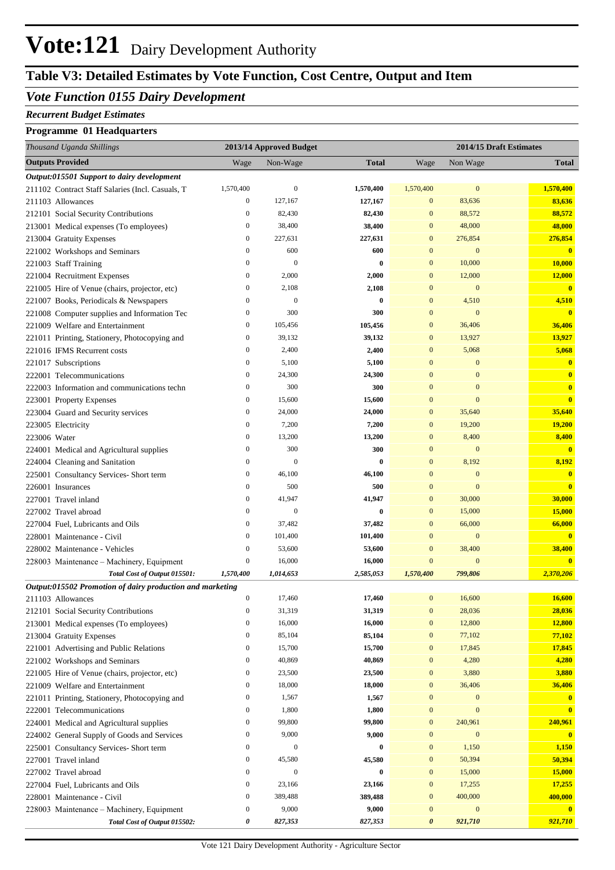### **Table V3: Detailed Estimates by Vote Function, Cost Centre, Output and Item**

### *Vote Function 0155 Dairy Development*

#### *Recurrent Budget Estimates*

### **Programme 01 Headquarters**

| Thousand Uganda Shillings                                                  |                                      | 2013/14 Approved Budget |                   |                                  |                            | 2014/15 Draft Estimates |
|----------------------------------------------------------------------------|--------------------------------------|-------------------------|-------------------|----------------------------------|----------------------------|-------------------------|
| <b>Outputs Provided</b>                                                    | Wage                                 | Non-Wage                | <b>Total</b>      | Wage                             | Non Wage                   | <b>Total</b>            |
| Output:015501 Support to dairy development                                 |                                      |                         |                   |                                  |                            |                         |
| 211102 Contract Staff Salaries (Incl. Casuals, T                           | 1,570,400                            | $\mathbf{0}$            | 1,570,400         | 1,570,400                        | $\mathbf{0}$               | 1,570,400               |
| 211103 Allowances                                                          | $\bf{0}$                             | 127,167                 | 127,167           | $\mathbf{0}$                     | 83,636                     | 83,636                  |
| 212101 Social Security Contributions                                       | $\boldsymbol{0}$                     | 82,430                  | 82,430            | $\mathbf{0}$                     | 88,572                     | 88,572                  |
| 213001 Medical expenses (To employees)                                     | $\boldsymbol{0}$                     | 38,400                  | 38,400            | $\mathbf{0}$                     | 48,000                     | 48,000                  |
| 213004 Gratuity Expenses                                                   | $\boldsymbol{0}$                     | 227,631                 | 227,631           | $\mathbf{0}$                     | 276,854                    | 276,854                 |
| 221002 Workshops and Seminars                                              | $\boldsymbol{0}$                     | 600                     | 600               | $\mathbf{0}$                     | $\mathbf{0}$               | $\mathbf{0}$            |
| 221003 Staff Training                                                      | $\boldsymbol{0}$                     | $\mathbf{0}$            | $\bf{0}$          | $\mathbf{0}$                     | 10,000                     | 10,000                  |
| 221004 Recruitment Expenses                                                | $\boldsymbol{0}$                     | 2,000                   | 2,000             | $\mathbf{0}$                     | 12,000                     | 12,000                  |
| 221005 Hire of Venue (chairs, projector, etc)                              | $\boldsymbol{0}$                     | 2,108                   | 2,108             | $\mathbf{0}$                     | $\mathbf{0}$               | $\overline{\mathbf{0}}$ |
| 221007 Books, Periodicals & Newspapers                                     | $\boldsymbol{0}$                     | $\boldsymbol{0}$        | $\bf{0}$          | $\mathbf{0}$                     | 4,510                      | 4,510                   |
| 221008 Computer supplies and Information Tec                               | $\boldsymbol{0}$                     | 300                     | 300               | $\mathbf{0}$                     | $\mathbf{0}$               | $\overline{\mathbf{0}}$ |
| 221009 Welfare and Entertainment                                           | $\boldsymbol{0}$                     | 105,456                 | 105,456           | $\mathbf{0}$                     | 36,406                     | 36,406                  |
| 221011 Printing, Stationery, Photocopying and                              | $\boldsymbol{0}$                     | 39,132                  | 39,132            | $\mathbf{0}$                     | 13,927                     | 13,927                  |
| 221016 IFMS Recurrent costs                                                | $\boldsymbol{0}$                     | 2,400                   | 2,400             | $\mathbf{0}$                     | 5,068                      | 5,068                   |
| 221017 Subscriptions                                                       | $\boldsymbol{0}$                     | 5,100                   | 5,100             | $\bf{0}$                         | $\mathbf{0}$               | $\bf{0}$                |
| 222001 Telecommunications                                                  | $\boldsymbol{0}$                     | 24,300                  | 24,300            | $\bf{0}$                         | $\mathbf{0}$               | $\bf{0}$                |
| 222003 Information and communications techn                                | $\boldsymbol{0}$                     | 300                     | 300               | $\bf{0}$                         | $\mathbf{0}$               | $\bf{0}$                |
| 223001 Property Expenses                                                   | $\boldsymbol{0}$                     | 15,600                  | 15,600            | $\bf{0}$                         | $\overline{0}$             | $\mathbf{0}$            |
| 223004 Guard and Security services                                         | $\boldsymbol{0}$                     | 24,000                  | 24,000            | $\mathbf{0}$                     | 35,640                     | 35,640                  |
| 223005 Electricity                                                         | $\boldsymbol{0}$                     | 7,200                   | 7,200             | $\mathbf{0}$                     | 19,200                     | 19,200                  |
| 223006 Water                                                               | $\boldsymbol{0}$                     | 13,200                  | 13,200            | $\mathbf{0}$                     | 8,400                      | 8,400                   |
| 224001 Medical and Agricultural supplies                                   | $\boldsymbol{0}$                     | 300                     | 300               | $\mathbf{0}$                     | $\mathbf{0}$               | $\overline{\mathbf{0}}$ |
| 224004 Cleaning and Sanitation                                             | $\boldsymbol{0}$                     | $\boldsymbol{0}$        | $\bf{0}$          | $\mathbf{0}$                     | 8,192                      | 8,192                   |
| 225001 Consultancy Services- Short term                                    | $\boldsymbol{0}$                     | 46,100                  | 46,100            | $\mathbf{0}$                     | $\mathbf{0}$               | $\bf{0}$                |
| 226001 Insurances                                                          | $\boldsymbol{0}$                     | 500                     | 500               | $\mathbf{0}$                     | $\overline{0}$             | $\overline{\mathbf{0}}$ |
| 227001 Travel inland                                                       | $\boldsymbol{0}$                     | 41,947                  | 41,947            | $\mathbf{0}$                     | 30,000                     | 30,000                  |
| 227002 Travel abroad                                                       | $\boldsymbol{0}$                     | $\boldsymbol{0}$        | $\bf{0}$          | $\mathbf{0}$                     | 15,000                     | <b>15,000</b>           |
| 227004 Fuel, Lubricants and Oils                                           | $\boldsymbol{0}$                     | 37,482                  | 37,482            | $\mathbf{0}$                     | 66,000                     | 66,000                  |
| 228001 Maintenance - Civil                                                 | $\boldsymbol{0}$<br>$\boldsymbol{0}$ | 101,400<br>53,600       | 101,400<br>53,600 | $\mathbf{0}$<br>$\boldsymbol{0}$ | $\boldsymbol{0}$<br>38,400 | $\bf{0}$<br>38,400      |
| 228002 Maintenance - Vehicles<br>228003 Maintenance – Machinery, Equipment | $\boldsymbol{0}$                     | 16,000                  | 16,000            | $\mathbf{0}$                     | $\mathbf{0}$               | $\overline{\mathbf{0}}$ |
| Total Cost of Output 015501:                                               | 1,570,400                            | 1,014,653               | 2,585,053         | 1,570,400                        | 799,806                    | 2,370,206               |
| Output:015502 Promotion of dairy production and marketing                  |                                      |                         |                   |                                  |                            |                         |
| 211103 Allowances                                                          | $\boldsymbol{0}$                     | 17,460                  | 17,460            | $\mathbf{0}$                     | 16,600                     | 16,600                  |
| 212101 Social Security Contributions                                       | $\boldsymbol{0}$                     | 31,319                  | 31,319            | $\boldsymbol{0}$                 | 28,036                     | 28,036                  |
| 213001 Medical expenses (To employees)                                     | $\boldsymbol{0}$                     | 16,000                  | 16,000            | $\boldsymbol{0}$                 | 12,800                     | 12,800                  |
| 213004 Gratuity Expenses                                                   | $\boldsymbol{0}$                     | 85,104                  | 85,104            | $\boldsymbol{0}$                 | 77,102                     | 77,102                  |
| 221001 Advertising and Public Relations                                    | $\boldsymbol{0}$                     | 15,700                  | 15,700            | $\boldsymbol{0}$                 | 17,845                     | 17,845                  |
| 221002 Workshops and Seminars                                              | $\boldsymbol{0}$                     | 40,869                  | 40,869            | $\boldsymbol{0}$                 | 4,280                      | 4,280                   |
| 221005 Hire of Venue (chairs, projector, etc)                              | $\boldsymbol{0}$                     | 23,500                  | 23,500            | $\boldsymbol{0}$                 | 3,880                      | 3,880                   |
| 221009 Welfare and Entertainment                                           | $\boldsymbol{0}$                     | 18,000                  | 18,000            | $\boldsymbol{0}$                 | 36,406                     | 36,406                  |
| 221011 Printing, Stationery, Photocopying and                              | $\boldsymbol{0}$                     | 1,567                   | 1,567             | $\boldsymbol{0}$                 | $\boldsymbol{0}$           | $\bf{0}$                |
| 222001 Telecommunications                                                  | $\boldsymbol{0}$                     | 1,800                   | 1,800             | $\boldsymbol{0}$                 | $\bf{0}$                   | $\bf{0}$                |
| 224001 Medical and Agricultural supplies                                   | $\boldsymbol{0}$                     | 99,800                  | 99,800            | $\boldsymbol{0}$                 | 240,961                    | 240,961                 |
| 224002 General Supply of Goods and Services                                | $\boldsymbol{0}$                     | 9,000                   | 9,000             | $\boldsymbol{0}$                 | $\boldsymbol{0}$           | $\mathbf{0}$            |
| 225001 Consultancy Services- Short term                                    | $\boldsymbol{0}$                     | $\mathbf{0}$            | $\bf{0}$          | $\boldsymbol{0}$                 | 1,150                      | 1,150                   |
| 227001 Travel inland                                                       | $\boldsymbol{0}$                     | 45,580                  | 45,580            | $\boldsymbol{0}$                 | 50,394                     | 50,394                  |
| 227002 Travel abroad                                                       | $\boldsymbol{0}$                     | $\mathbf{0}$            | $\bf{0}$          | $\boldsymbol{0}$                 | 15,000                     | 15,000                  |
| 227004 Fuel, Lubricants and Oils                                           | $\boldsymbol{0}$                     | 23,166                  | 23,166            | $\boldsymbol{0}$                 | 17,255                     | 17,255                  |
| 228001 Maintenance - Civil                                                 | $\boldsymbol{0}$                     | 389,488                 | 389,488           | $\boldsymbol{0}$                 | 400,000                    | 400,000                 |
| 228003 Maintenance - Machinery, Equipment                                  | $\boldsymbol{0}$                     | 9,000                   | 9,000             | $\boldsymbol{0}$                 | $\boldsymbol{0}$           |                         |
| Total Cost of Output 015502:                                               | 0                                    | 827,353                 | 827,353           | 0                                | 921,710                    | 921,710                 |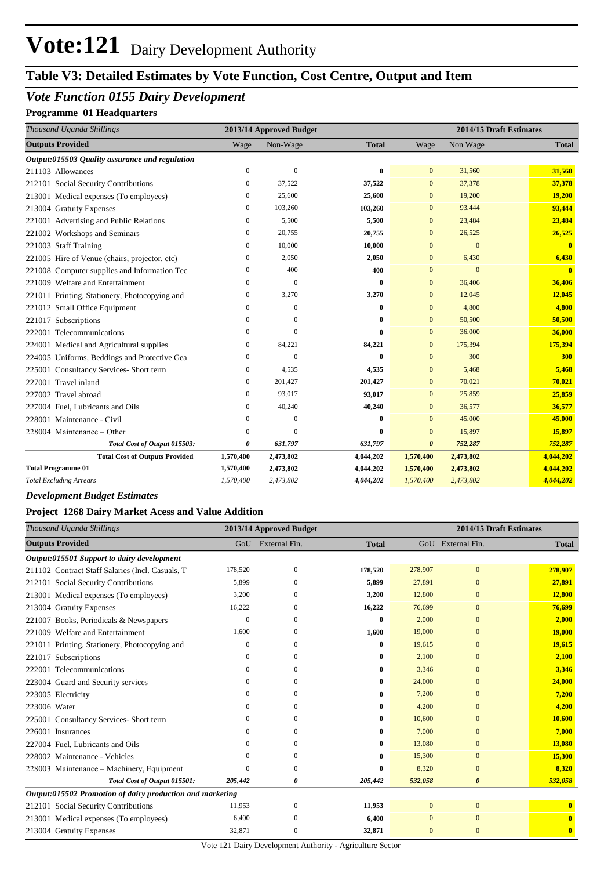### **Table V3: Detailed Estimates by Vote Function, Cost Centre, Output and Item**

### *Vote Function 0155 Dairy Development*

### **Programme 01 Headquarters**

| Thousand Uganda Shillings                      | 2013/14 Approved Budget<br>2014/15 Draft Estimates |                |              |                       |                |              |
|------------------------------------------------|----------------------------------------------------|----------------|--------------|-----------------------|----------------|--------------|
| <b>Outputs Provided</b>                        | Wage                                               | Non-Wage       | <b>Total</b> | Wage                  | Non Wage       | <b>Total</b> |
| Output:015503 Quality assurance and regulation |                                                    |                |              |                       |                |              |
| 211103 Allowances                              | $\mathbf{0}$                                       | $\overline{0}$ | 0            | $\mathbf{0}$          | 31,560         | 31,560       |
| 212101 Social Security Contributions           | $\overline{0}$                                     | 37,522         | 37,522       | $\overline{0}$        | 37,378         | 37,378       |
| 213001 Medical expenses (To employees)         | $\mathbf{0}$                                       | 25,600         | 25,600       | $\mathbf{0}$          | 19,200         | 19,200       |
| 213004 Gratuity Expenses                       | 0                                                  | 103,260        | 103,260      | $\mathbf{0}$          | 93,444         | 93,444       |
| 221001 Advertising and Public Relations        | $\mathbf{0}$                                       | 5,500          | 5,500        | $\mathbf{0}$          | 23,484         | 23,484       |
| 221002 Workshops and Seminars                  | 0                                                  | 20,755         | 20,755       | $\mathbf{0}$          | 26,525         | 26,525       |
| 221003 Staff Training                          | 0                                                  | 10,000         | 10,000       | $\mathbf{0}$          | $\overline{0}$ | $\mathbf{0}$ |
| 221005 Hire of Venue (chairs, projector, etc)  | $\mathbf{0}$                                       | 2,050          | 2,050        | $\mathbf{0}$          | 6,430          | 6,430        |
| 221008 Computer supplies and Information Tec   | 0                                                  | 400            | 400          | $\overline{0}$        | $\overline{0}$ | $\mathbf{0}$ |
| 221009 Welfare and Entertainment               | 0                                                  | $\mathbf{0}$   | $\mathbf{0}$ | $\mathbf{0}$          | 36,406         | 36,406       |
| 221011 Printing, Stationery, Photocopying and  | $\boldsymbol{0}$                                   | 3,270          | 3,270        | $\overline{0}$        | 12,045         | 12,045       |
| 221012 Small Office Equipment                  | $\mathbf{0}$                                       | $\overline{0}$ | $\bf{0}$     | $\mathbf{0}$          | 4,800          | 4,800        |
| 221017 Subscriptions                           | $\Omega$                                           | $\Omega$       | 0            | $\mathbf{0}$          | 50,500         | 50,500       |
| 222001 Telecommunications                      | $\mathbf{0}$                                       | $\Omega$       | 0            | $\overline{0}$        | 36,000         | 36,000       |
| 224001 Medical and Agricultural supplies       | $\mathbf{0}$                                       | 84,221         | 84,221       | $\overline{0}$        | 175,394        | 175,394      |
| 224005 Uniforms, Beddings and Protective Gea   | $\mathbf{0}$                                       | $\mathbf{0}$   | $\bf{0}$     | $\mathbf{0}$          | 300            | 300          |
| 225001 Consultancy Services- Short term        | 0                                                  | 4,535          | 4,535        | $\mathbf{0}$          | 5,468          | 5,468        |
| 227001 Travel inland                           | $\Omega$                                           | 201,427        | 201,427      | $\Omega$              | 70,021         | 70,021       |
| 227002 Travel abroad                           | $\overline{0}$                                     | 93,017         | 93,017       | $\overline{0}$        | 25,859         | 25,859       |
| 227004 Fuel, Lubricants and Oils               | 0                                                  | 40,240         | 40,240       | $\overline{0}$        | 36,577         | 36,577       |
| 228001 Maintenance - Civil                     | 0                                                  | $\theta$       | 0            | $\mathbf{0}$          | 45,000         | 45,000       |
| 228004 Maintenance - Other                     | $\Omega$                                           | $\Omega$       | 0            | $\overline{0}$        | 15,897         | 15,897       |
| Total Cost of Output 015503:                   | 0                                                  | 631,797        | 631,797      | $\boldsymbol{\theta}$ | 752,287        | 752,287      |
| <b>Total Cost of Outputs Provided</b>          | 1,570,400                                          | 2,473,802      | 4,044,202    | 1,570,400             | 2,473,802      | 4,044,202    |
| <b>Total Programme 01</b>                      | 1,570,400                                          | 2,473,802      | 4,044,202    | 1,570,400             | 2,473,802      | 4,044,202    |
| <b>Total Excluding Arrears</b>                 | 1,570,400                                          | 2,473,802      | 4,044,202    | 1,570,400             | 2,473,802      | 4,044,202    |

#### *Development Budget Estimates*

#### **Project 1268 Dairy Market Acess and Value Addition**

| Thousand Uganda Shillings                                 | 2013/14 Approved Budget |               |              | 2014/15 Draft Estimates |                       |                         |  |
|-----------------------------------------------------------|-------------------------|---------------|--------------|-------------------------|-----------------------|-------------------------|--|
| <b>Outputs Provided</b>                                   | GoU                     | External Fin. | <b>Total</b> |                         | GoU External Fin.     | <b>Total</b>            |  |
| Output:015501 Support to dairy development                |                         |               |              |                         |                       |                         |  |
| 211102 Contract Staff Salaries (Incl. Casuals, T          | 178,520                 | $\mathbf{0}$  | 178,520      | 278,907                 | $\mathbf{0}$          | 278,907                 |  |
| 212101 Social Security Contributions                      | 5,899                   | $\Omega$      | 5,899        | 27,891                  | $\mathbf{0}$          | 27,891                  |  |
| 213001 Medical expenses (To employees)                    | 3,200                   | $\Omega$      | 3,200        | 12,800                  | $\mathbf{0}$          | 12,800                  |  |
| 213004 Gratuity Expenses                                  | 16,222                  | 0             | 16,222       | 76,699                  | $\mathbf{0}$          | 76,699                  |  |
| 221007 Books, Periodicals & Newspapers                    | $\theta$                | $\Omega$      | $\bf{0}$     | 2,000                   | $\mathbf{0}$          | 2,000                   |  |
| 221009 Welfare and Entertainment                          | 1,600                   | $\Omega$      | 1,600        | 19,000                  | $\mathbf{0}$          | 19,000                  |  |
| 221011 Printing, Stationery, Photocopying and             | $\Omega$                | $\mathbf{0}$  | $\bf{0}$     | 19.615                  | $\mathbf{0}$          | 19,615                  |  |
| 221017 Subscriptions                                      | 0                       | $\Omega$      | $\bf{0}$     | 2,100                   | $\mathbf{0}$          | 2,100                   |  |
| 222001 Telecommunications                                 | 0                       | $\Omega$      | $\bf{0}$     | 3,346                   | $\mathbf{0}$          | 3,346                   |  |
| 223004 Guard and Security services                        | $\Omega$                | $\Omega$      | $\bf{0}$     | 24,000                  | $\mathbf{0}$          | 24,000                  |  |
| 223005 Electricity                                        | 0                       | $\Omega$      | $\bf{0}$     | 7,200                   | $\mathbf{0}$          | 7,200                   |  |
| 223006 Water                                              | 0                       | $\Omega$      | $\bf{0}$     | 4,200                   | $\mathbf{0}$          | 4,200                   |  |
| 225001 Consultancy Services- Short term                   | 0                       | $\Omega$      | $\bf{0}$     | 10,600                  | $\Omega$              | 10,600                  |  |
| 226001 Insurances                                         | 0                       | $\mathbf{0}$  | $\bf{0}$     | 7,000                   | $\mathbf{0}$          | 7,000                   |  |
| 227004 Fuel, Lubricants and Oils                          | 0                       | $\Omega$      | $\bf{0}$     | 13,080                  | $\mathbf{0}$          | 13,080                  |  |
| 228002 Maintenance - Vehicles                             | 0                       | $\Omega$      | $\bf{0}$     | 15,300                  | $\mathbf{0}$          | 15,300                  |  |
| 228003 Maintenance – Machinery, Equipment                 | 0                       | $\Omega$      | $\bf{0}$     | 8,320                   | $\mathbf{0}$          | 8,320                   |  |
| Total Cost of Output 015501:                              | 205,442                 | 0             | 205,442      | 532,058                 | $\boldsymbol{\theta}$ | 532,058                 |  |
| Output:015502 Promotion of dairy production and marketing |                         |               |              |                         |                       |                         |  |
| 212101 Social Security Contributions                      | 11,953                  | $\mathbf{0}$  | 11,953       | $\Omega$                | $\mathbf{0}$          | $\mathbf{0}$            |  |
| 213001 Medical expenses (To employees)                    | 6,400                   | $\Omega$      | 6,400        | $\Omega$                | $\mathbf{0}$          | $\overline{\mathbf{0}}$ |  |
| 213004 Gratuity Expenses                                  | 32,871                  | $\mathbf{0}$  | 32,871       | $\mathbf{0}$            | $\mathbf{0}$          | $\bf{0}$                |  |